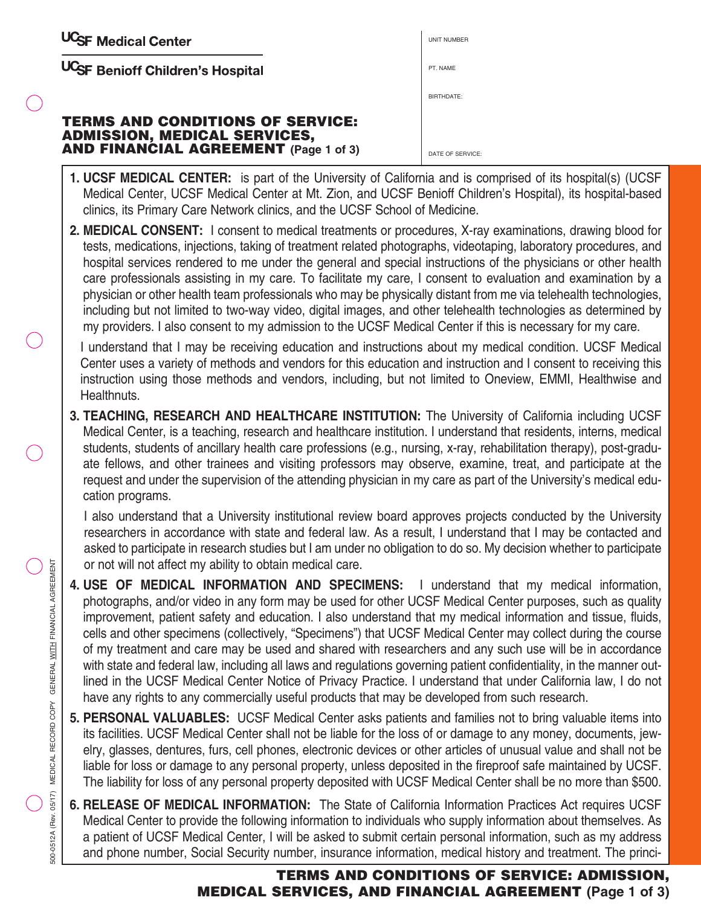| <b>UCSF Medical Center</b> |
|----------------------------|
|----------------------------|

UCSF Benioff Children's Hospital

#### **TERMS AND CONDITIONS OF SERVICE: ADMISSION, MEDICAL SERVICES, AND FINANCIAL AGREEMENT (Page 1 of 3)**

| <b>UNIT NUMBER</b> |
|--------------------|
| PT. NAME           |
| BIRTHDATE:         |
|                    |
| DATE OF SERVICE:   |

- **1. UCSF MEDICAL CENTER:** is part of the University of California and is comprised of its hospital(s) (UCSF Medical Center, UCSF Medical Center at Mt. Zion, and UCSF Benioff Children's Hospital), its hospital-based clinics, its Primary Care Network clinics, and the UCSF School of Medicine.
- **2. MEDICAL CONSENT:** I consent to medical treatments or procedures, X-ray examinations, drawing blood for tests, medications, injections, taking of treatment related photographs, videotaping, laboratory procedures, and hospital services rendered to me under the general and special instructions of the physicians or other health care professionals assisting in my care. To facilitate my care, I consent to evaluation and examination by a physician or other health team professionals who may be physically distant from me via telehealth technologies, including but not limited to two-way video, digital images, and other telehealth technologies as determined by my providers. I also consent to my admission to the UCSF Medical Center if this is necessary for my care.

I understand that I may be receiving education and instructions about my medical condition. UCSF Medical Center uses a variety of methods and vendors for this education and instruction and I consent to receiving this instruction using those methods and vendors, including, but not limited to Oneview, EMMI, Healthwise and Healthnuts.

**3. TEACHING, RESEARCH AND HEALTHCARE INSTITUTION:** The University of California including UCSF Medical Center, is a teaching, research and healthcare institution. I understand that residents, interns, medical students, students of ancillary health care professions (e.g., nursing, x-ray, rehabilitation therapy), post-graduate fellows, and other trainees and visiting professors may observe, examine, treat, and participate at the request and under the supervision of the attending physician in my care as part of the University's medical education programs.

I also understand that a University institutional review board approves projects conducted by the University researchers in accordance with state and federal law. As a result, I understand that I may be contacted and asked to participate in research studies but I am under no obligation to do so. My decision whether to participate or not will not affect my ability to obtain medical care.

- **4. USE OF MEDICAL INFORMATION AND SPECIMENS:** I understand that my medical information, photographs, and/or video in any form may be used for other UCSF Medical Center purposes, such as quality improvement, patient safety and education. I also understand that my medical information and tissue, fluids, cells and other specimens (collectively, "Specimens") that UCSF Medical Center may collect during the course of my treatment and care may be used and shared with researchers and any such use will be in accordance with state and federal law, including all laws and regulations governing patient confidentiality, in the manner outlined in the UCSF Medical Center Notice of Privacy Practice. I understand that under California law, I do not have any rights to any commercially useful products that may be developed from such research.
- **5. PERSONAL VALUABLES:** UCSF Medical Center asks patients and families not to bring valuable items into its facilities. UCSF Medical Center shall not be liable for the loss of or damage to any money, documents, jewelry, glasses, dentures, furs, cell phones, electronic devices or other articles of unusual value and shall not be liable for loss or damage to any personal property, unless deposited in the fireproof safe maintained by UCSF. The liability for loss of any personal property deposited with UCSF Medical Center shall be no more than \$500.
- **6. RELEASE OF MEDICAL INFORMATION:** The State of California Information Practices Act requires UCSF Medical Center to provide the following information to individuals who supply information about themselves. As a patient of UCSF Medical Center, I will be asked to submit certain personal information, such as my address and phone number, Social Security number, insurance information, medical history and treatment. The princi-

# **TERMS AND CONDITIONS OF SERVICE: ADMISSION, MEDICAL SERVICES, AND FINANCIAL AGREEMENT (Page 1 of 3)**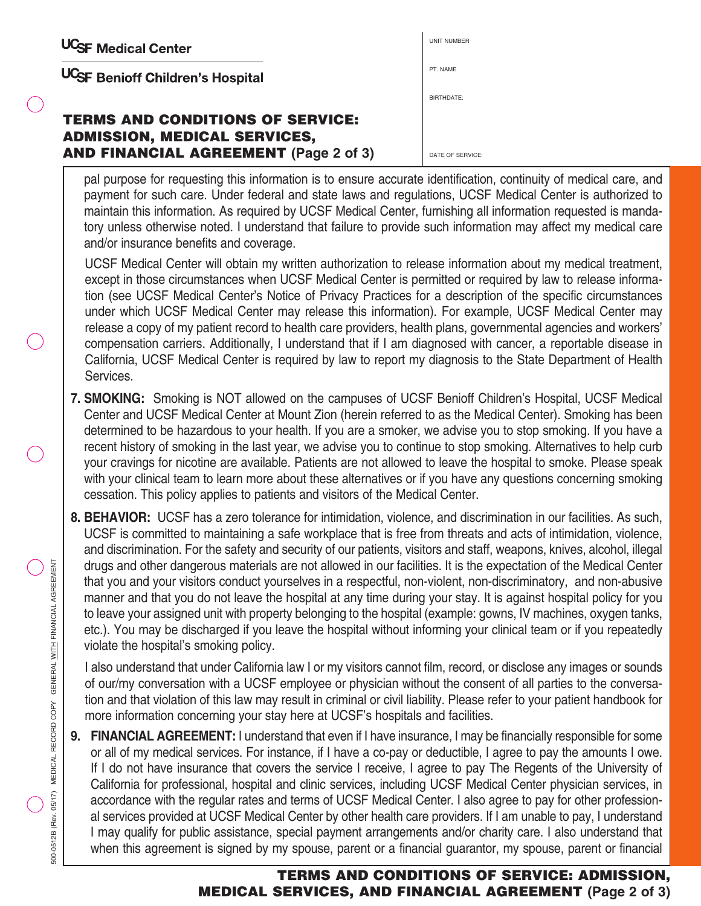UCSF Benioff Children's Hospital

## **TERMS AND CONDITIONS OF SERVICE: ADMISSION, MEDICAL SERVICES, AND FINANCIAL AGREEMENT (Page 2 of 3)**

pal purpose for requesting this information is to ensure accurate identification, continuity of medical care, and payment for such care. Under federal and state laws and regulations, UCSF Medical Center is authorized to maintain this information. As required by UCSF Medical Center, furnishing all information requested is manda-BIRTHDATE: DATE OF SERVICE

UNIT NUMBER

PT. NAME

tory unless otherwise noted. I understand that failure to provide such information may affect my medical care and/or insurance benefits and coverage. UCSF Medical Center will obtain my written authorization to release information about my medical treatment, except in those circumstances when UCSF Medical Center is permitted or required by law to release information (see UCSF Medical Center's Notice of Privacy Practices for a description of the specific circumstances under which UCSF Medical Center may release this information). For example, UCSF Medical Center may

release a copy of my patient record to health care providers, health plans, governmental agencies and workers' compensation carriers. Additionally, I understand that if I am diagnosed with cancer, a reportable disease in California, UCSF Medical Center is required by law to report my diagnosis to the State Department of Health Services.

- **7. SMOKING:** Smoking is NOT allowed on the campuses of UCSF Benioff Children's Hospital, UCSF Medical Center and UCSF Medical Center at Mount Zion (herein referred to as the Medical Center). Smoking has been determined to be hazardous to your health. If you are a smoker, we advise you to stop smoking. If you have a recent history of smoking in the last year, we advise you to continue to stop smoking. Alternatives to help curb your cravings for nicotine are available. Patients are not allowed to leave the hospital to smoke. Please speak with your clinical team to learn more about these alternatives or if you have any questions concerning smoking cessation. This policy applies to patients and visitors of the Medical Center.
- **8. BEHAVIOR:** UCSF has a zero tolerance for intimidation, violence, and discrimination in our facilities. As such, UCSF is committed to maintaining a safe workplace that is free from threats and acts of intimidation, violence, and discrimination. For the safety and security of our patients, visitors and staff, weapons, knives, alcohol, illegal drugs and other dangerous materials are not allowed in our facilities. It is the expectation of the Medical Center that you and your visitors conduct yourselves in a respectful, non-violent, non-discriminatory, and non-abusive manner and that you do not leave the hospital at any time during your stay. It is against hospital policy for you to leave your assigned unit with property belonging to the hospital (example: gowns, IV machines, oxygen tanks, etc.). You may be discharged if you leave the hospital without informing your clinical team or if you repeatedly violate the hospital's smoking policy.

I also understand that under California law I or my visitors cannot film, record, or disclose any images or sounds of our/my conversation with a UCSF employee or physician without the consent of all parties to the conversation and that violation of this law may result in criminal or civil liability. Please refer to your patient handbook for more information concerning your stay here at UCSF's hospitals and facilities.

**9. FINANCIAL AGREEMENT:** I understand that even if I have insurance, I may be financially responsible for some or all of my medical services. For instance, if I have a co-pay or deductible, I agree to pay the amounts I owe. If I do not have insurance that covers the service I receive, I agree to pay The Regents of the University of California for professional, hospital and clinic services, including UCSF Medical Center physician services, in accordance with the regular rates and terms of UCSF Medical Center. I also agree to pay for other professional services provided at UCSF Medical Center by other health care providers. If I am unable to pay, I understand I may qualify for public assistance, special payment arrangements and/or charity care. I also understand that when this agreement is signed by my spouse, parent or a financial guarantor, my spouse, parent or financial

## **TERMS AND CONDITIONS OF SERVICE: ADMISSION, MEDICAL SERVICES, AND FINANCIAL AGREEMENT (Page 2 of 3)**